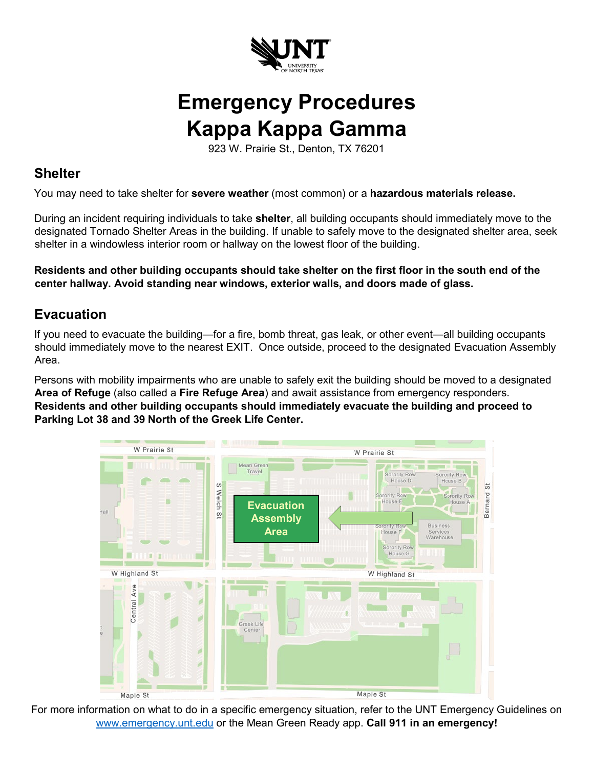

## **Emergency Procedures Kappa Kappa Gamma**

923 W. Prairie St., Denton, TX 76201

## **Shelter**

You may need to take shelter for **severe weather** (most common) or a **hazardous materials release.**

During an incident requiring individuals to take **shelter**, all building occupants should immediately move to the designated Tornado Shelter Areas in the building. If unable to safely move to the designated shelter area, seek shelter in a windowless interior room or hallway on the lowest floor of the building.

**Residents and other building occupants should take shelter on the first floor in the south end of the center hallway. Avoid standing near windows, exterior walls, and doors made of glass.** 

## **Evacuation**

If you need to evacuate the building—for a fire, bomb threat, gas leak, or other event—all building occupants should immediately move to the nearest EXIT. Once outside, proceed to the designated Evacuation Assembly Area.

Persons with mobility impairments who are unable to safely exit the building should be moved to a designated **Area of Refuge** (also called a **Fire Refuge Area**) and await assistance from emergency responders. **Residents and other building occupants should immediately evacuate the building and proceed to Parking Lot 38 and 39 North of the Greek Life Center.** 



For more information on what to do in a specific emergency situation, refer to the UNT Emergency Guidelines on [www.emergency.unt.edu](http://www.emergency.unt.edu/) or the Mean Green Ready app. **Call 911 in an emergency!**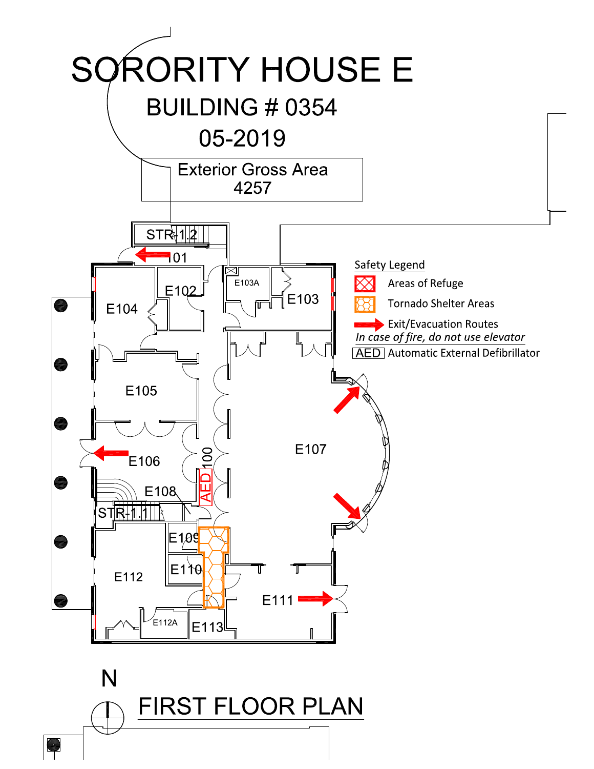